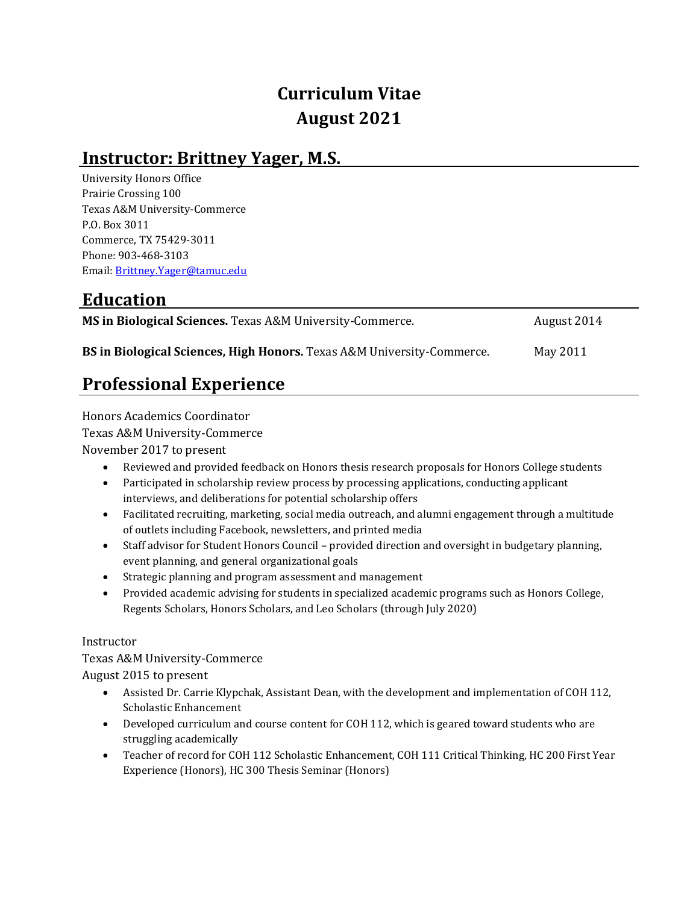# **Curriculum Vitae August 2021**

### **Instructor: Brittney Yager, M.S.**

University Honors Office Prairie Crossing 100 Texas A&M University-Commerce P.O. Box 3011 Commerce, TX 75429-3011 Phone: 903-468-3103 Email[: Brittney.Yager@tamuc.edu](mailto:Brittney.Yager@tamuc.edu)

## **Education**

| MS in Biological Sciences. Texas A&M University-Commerce.              | August 2014 |
|------------------------------------------------------------------------|-------------|
| BS in Biological Sciences, High Honors. Texas A&M University-Commerce. | May 2011    |

## **Professional Experience**

Honors Academics Coordinator Texas A&M University-Commerce November 2017 to present

- Reviewed and provided feedback on Honors thesis research proposals for Honors College students
- Participated in scholarship review process by processing applications, conducting applicant interviews, and deliberations for potential scholarship offers
- Facilitated recruiting, marketing, social media outreach, and alumni engagement through a multitude of outlets including Facebook, newsletters, and printed media
- Staff advisor for Student Honors Council provided direction and oversight in budgetary planning, event planning, and general organizational goals
- Strategic planning and program assessment and management
- Provided academic advising for students in specialized academic programs such as Honors College, Regents Scholars, Honors Scholars, and Leo Scholars (through July 2020)

#### Instructor

Texas A&M University-Commerce August 2015 to present

- Assisted Dr. Carrie Klypchak, Assistant Dean, with the development and implementation of COH 112, Scholastic Enhancement
- Developed curriculum and course content for COH 112, which is geared toward students who are struggling academically
- Teacher of record for COH 112 Scholastic Enhancement, COH 111 Critical Thinking, HC 200 First Year Experience (Honors), HC 300 Thesis Seminar (Honors)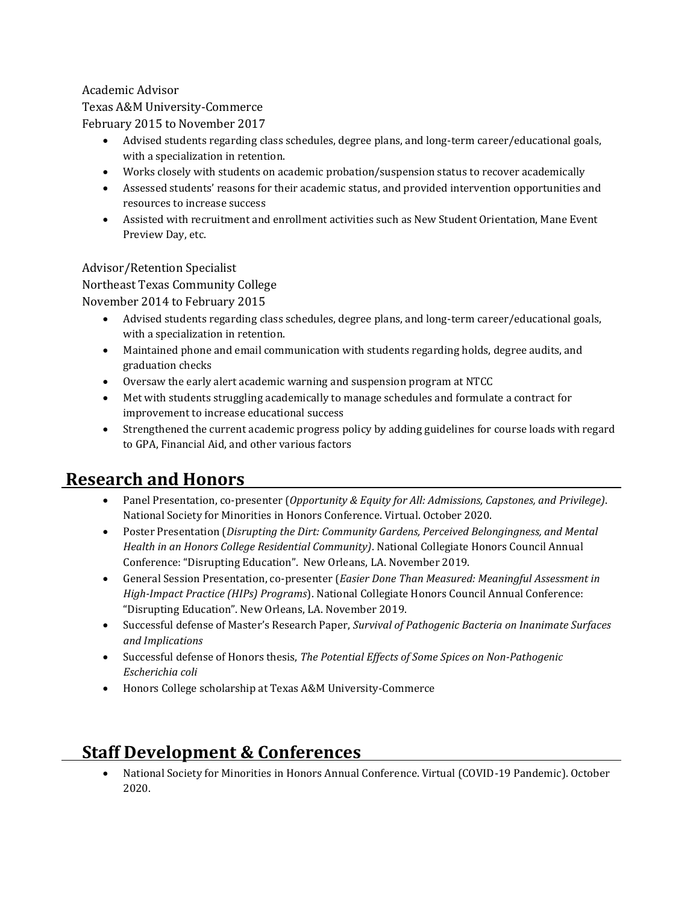#### Academic Advisor

#### Texas A&M University-Commerce

February 2015 to November 2017

- Advised students regarding class schedules, degree plans, and long-term career/educational goals, with a specialization in retention.
- Works closely with students on academic probation/suspension status to recover academically
- Assessed students' reasons for their academic status, and provided intervention opportunities and resources to increase success
- Assisted with recruitment and enrollment activities such as New Student Orientation, Mane Event Preview Day, etc.

Advisor/Retention Specialist

Northeast Texas Community College

November 2014 to February 2015

- Advised students regarding class schedules, degree plans, and long-term career/educational goals, with a specialization in retention.
- Maintained phone and email communication with students regarding holds, degree audits, and graduation checks
- Oversaw the early alert academic warning and suspension program at NTCC
- Met with students struggling academically to manage schedules and formulate a contract for improvement to increase educational success
- Strengthened the current academic progress policy by adding guidelines for course loads with regard to GPA, Financial Aid, and other various factors

### **Research and Honors**

- Panel Presentation, co-presenter (*Opportunity & Equity for All: Admissions, Capstones, and Privilege)*. National Society for Minorities in Honors Conference. Virtual. October 2020.
- Poster Presentation (*Disrupting the Dirt: Community Gardens, Perceived Belongingness, and Mental Health in an Honors College Residential Community)*. National Collegiate Honors Council Annual Conference: "Disrupting Education". New Orleans, LA. November 2019.
- General Session Presentation, co-presenter (*Easier Done Than Measured: Meaningful Assessment in High-Impact Practice (HIPs) Programs*). National Collegiate Honors Council Annual Conference: "Disrupting Education". New Orleans, LA. November 2019.
- Successful defense of Master's Research Paper, *Survival of Pathogenic Bacteria on Inanimate Surfaces and Implications*
- Successful defense of Honors thesis, *The Potential Effects of Some Spices on Non-Pathogenic Escherichia coli*
- Honors College scholarship at Texas A&M University-Commerce

## **Staff Development & Conferences**

 National Society for Minorities in Honors Annual Conference. Virtual (COVID-19 Pandemic). October 2020.